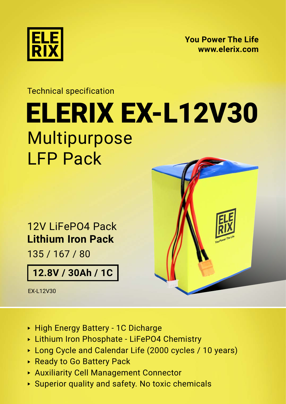

**[You Power The Life](https://elerix.com) [www.elerix.com](https://elerix.com)**

## Technical specification [ELERIX EX-L12V30](https://shop.gwl.eu/_d7963.html) Multipurpose LFP Pack

12V LiFePO4 Pack **Lithium Iron Pack**

135 / 167 / 80

**12.8V / 30Ah / 1C**

EX-L12V30



- ► High Energy Battery 1C Dicharge
- ► Lithium Iron Phosphate LiFePO4 Chemistry
- ► Long Cycle and Calendar Life (2000 cycles / 10 years)
- ► Ready to Go Battery Pack
- ► Auxiliarity Cell Management Connector
- ► Superior quality and safety. No toxic chemicals